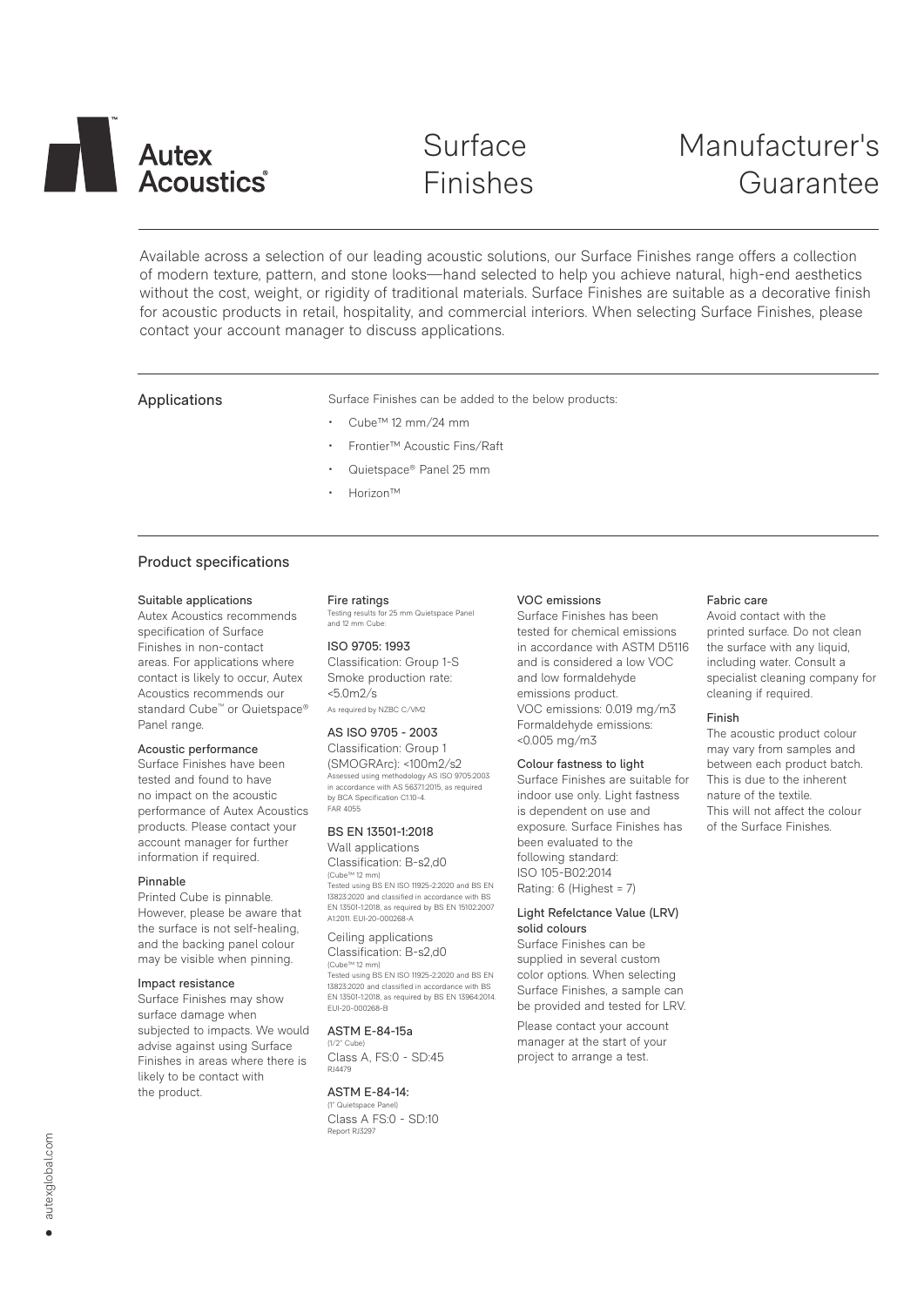# **Autex** Acoustics

# Surface Finishes

# Manufacturer's Guarantee

Available across a selection of our leading acoustic solutions, our Surface Finishes range offers a collection of modern texture, pattern, and stone looks—hand selected to help you achieve natural, high-end aesthetics without the cost, weight, or rigidity of traditional materials. Surface Finishes are suitable as a decorative finish for acoustic products in retail, hospitality, and commercial interiors. When selecting Surface Finishes, please contact your account manager to discuss applications.

Applications **Surface Finishes can be added to the below products:** 

- Cube™ 12 mm/24 mm
- Frontier™ Acoustic Fins/Raft
- Quietspace® Panel 25 mm
- Horizon™

# Product specifications

#### Suitable applications

Autex Acoustics recommends specification of Surface Finishes in non-contact areas. For applications where contact is likely to occur, Autex Acoustics recommends our standard Cube<sup>™</sup> or Quietspace® Panel range.

#### Acoustic performance

Surface Finishes have been tested and found to have no impact on the acoustic performance of Autex Acoustics products. Please contact your account manager for further information if required.

#### Pinnable

Printed Cube is pinnable. However, please be aware that the surface is not self-healing, and the backing panel colour may be visible when pinning.

#### Impact resistance

Surface Finishes may show surface damage when subjected to impacts. We would advise against using Surface Finishes in areas where there is likely to be contact with the product.

Fire ratings **J**<br>for 25 mm Quietspace Panel Testing results for<br>and 12 mm Cube:

#### ISO 9705: 1993 Classification: Group 1-S Smoke production rate: <5.0m2/s As required by NZBC C/VM2

### AS ISO 9705 - 2003

Classification: Group 1 (SMOGRArc): <100m2/s2 Assessed using methodology AS ISO 9705:2003 in accordance with AS 5637.1:2015, as required by BCA Specification C1.10-4. FAR 4055

# BS EN 13501-1:2018

Wall applications Classification: B-s2,d0 (Cube™ 12 mm) Tested using BS EN ISO 11925-2:2020 and BS EN 13823:2020 and classified in accordance with BS EN 13501-1:2018, as required by BS EN 15102:2007 A1:2011. EUI-20-000268-A

### Ceiling applications Classification: B-s2,d0

(Cube™ 12 mm) Tested using BS EN ISO 11925-2:2020 and BS EN 13823:2020 and classified in accordance with BS EN 13501-1:2018, as required by BS EN 13964:2014. EUI-20-000268-B

## ASTM E-84-15a

(1/2" Cube) Class A, FS:0 - SD:45  $BIA470$ 

ASTM E-84-14: (1" Quietspace Panel) Class A FS:0 - SD:10 .<br>Report RJ3297

# VOC emissions

Surface Finishes has been tested for chemical emissions in accordance with ASTM D5116 and is considered a low VOC and low formaldehyde emissions product. VOC emissions: 0.019 mg/m3 Formaldehyde emissions: <0.005 mg/m3

#### Colour fastness to light

Surface Finishes are suitable for indoor use only. Light fastness is dependent on use and exposure. Surface Finishes has been evaluated to the following standard: ISO 105-B02:2014 Rating: 6 (Highest = 7)

## Light Refelctance Value (LRV) solid colours

Surface Finishes can be supplied in several custom color options. When selecting Surface Finishes, a sample can be provided and tested for LRV.

Please contact your account manager at the start of your project to arrange a test.

# Fabric care

Avoid contact with the printed surface. Do not clean the surface with any liquid, including water. Consult a specialist cleaning company for cleaning if required.

#### Finish

The acoustic product colour may vary from samples and between each product batch. This is due to the inherent nature of the textile. This will not affect the colour of the Surface Finishes.